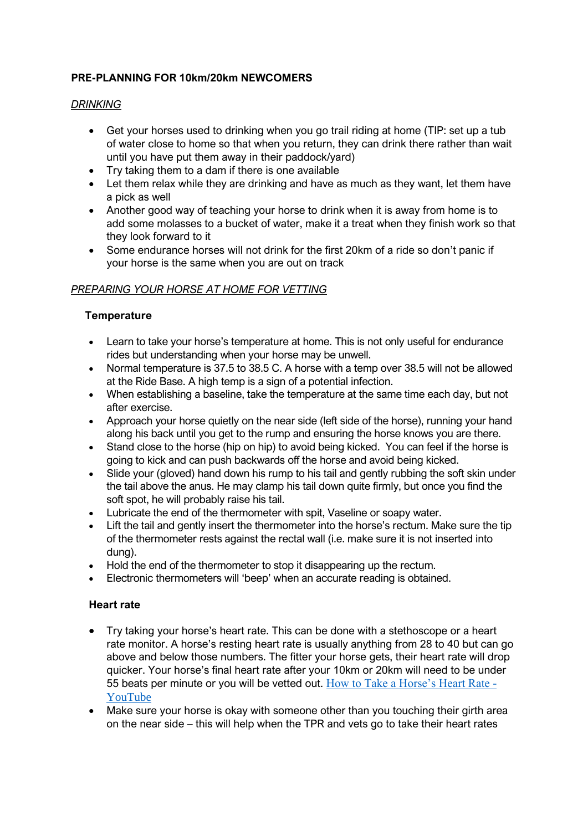# **PRE-PLANNING FOR 10km/20km NEWCOMERS**

### *DRINKING*

- Get your horses used to drinking when you go trail riding at home (TIP: set up a tub of water close to home so that when you return, they can drink there rather than wait until you have put them away in their paddock/yard)
- Try taking them to a dam if there is one available
- Let them relax while they are drinking and have as much as they want, let them have a pick as well
- Another good way of teaching your horse to drink when it is away from home is to add some molasses to a bucket of water, make it a treat when they finish work so that they look forward to it
- Some endurance horses will not drink for the first 20km of a ride so don't panic if your horse is the same when you are out on track

# *PREPARING YOUR HORSE AT HOME FOR VETTING*

### **Temperature**

- Learn to take your horse's temperature at home. This is not only useful for endurance rides but understanding when your horse may be unwell.
- Normal temperature is 37.5 to 38.5 C. A horse with a temp over 38.5 will not be allowed at the Ride Base. A high temp is a sign of a potential infection.
- When establishing a baseline, take the temperature at the same time each day, but not after exercise.
- Approach your horse quietly on the near side (left side of the horse), running your hand along his back until you get to the rump and ensuring the horse knows you are there.
- Stand close to the horse (hip on hip) to avoid being kicked. You can feel if the horse is going to kick and can push backwards off the horse and avoid being kicked.
- Slide your (gloved) hand down his rump to his tail and gently rubbing the soft skin under the tail above the anus. He may clamp his tail down quite firmly, but once you find the soft spot, he will probably raise his tail.
- Lubricate the end of the thermometer with spit, Vaseline or soapy water.
- Lift the tail and gently insert the thermometer into the horse's rectum. Make sure the tip of the thermometer rests against the rectal wall (i.e. make sure it is not inserted into dung).
- Hold the end of the thermometer to stop it disappearing up the rectum.
- Electronic thermometers will 'beep' when an accurate reading is obtained.

#### **Heart rate**

- Try taking your horse's heart rate. This can be done with a stethoscope or a heart rate monitor. A horse's resting heart rate is usually anything from 28 to 40 but can go above and below those numbers. The fitter your horse gets, their heart rate will drop quicker. Your horse's final heart rate after your 10km or 20km will need to be under 55 beats per minute or you will be vetted out. [How to Take a Horse's Heart Rate -](https://www.youtube.com/watch?v=CxqUobWLMao) [YouTube](https://www.youtube.com/watch?v=CxqUobWLMao)
- Make sure your horse is okay with someone other than you touching their girth area on the near side – this will help when the TPR and vets go to take their heart rates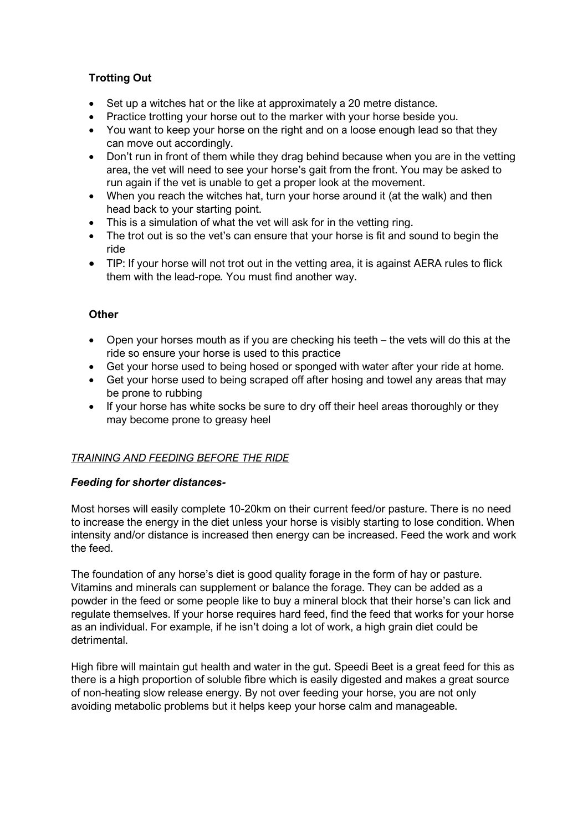# **Trotting Out**

- Set up a witches hat or the like at approximately a 20 metre distance.
- Practice trotting your horse out to the marker with your horse beside you.
- You want to keep your horse on the right and on a loose enough lead so that they can move out accordingly.
- Don't run in front of them while they drag behind because when you are in the vetting area, the vet will need to see your horse's gait from the front. You may be asked to run again if the vet is unable to get a proper look at the movement.
- When you reach the witches hat, turn your horse around it (at the walk) and then head back to your starting point.
- This is a simulation of what the vet will ask for in the vetting ring.
- The trot out is so the vet's can ensure that your horse is fit and sound to begin the ride
- TIP: If your horse will not trot out in the vetting area, it is against AERA rules to flick them with the lead-rope*.* You must find another way.

### **Other**

- Open your horses mouth as if you are checking his teeth the vets will do this at the ride so ensure your horse is used to this practice
- Get your horse used to being hosed or sponged with water after your ride at home.
- Get your horse used to being scraped off after hosing and towel any areas that may be prone to rubbing
- If your horse has white socks be sure to dry off their heel areas thoroughly or they may become prone to greasy heel

## *TRAINING AND FEEDING BEFORE THE RIDE*

#### *Feeding for shorter distances-*

Most horses will easily complete 10-20km on their current feed/or pasture. There is no need to increase the energy in the diet unless your horse is visibly starting to lose condition. When intensity and/or distance is increased then energy can be increased. Feed the work and work the feed.

The foundation of any horse's diet is good quality forage in the form of hay or pasture. Vitamins and minerals can supplement or balance the forage. They can be added as a powder in the feed or some people like to buy a mineral block that their horse's can lick and regulate themselves. If your horse requires hard feed, find the feed that works for your horse as an individual. For example, if he isn't doing a lot of work, a high grain diet could be detrimental.

High fibre will maintain gut health and water in the gut. Speedi Beet is a great feed for this as there is a high proportion of soluble fibre which is easily digested and makes a great source of non-heating slow release energy. By not over feeding your horse, you are not only avoiding metabolic problems but it helps keep your horse calm and manageable.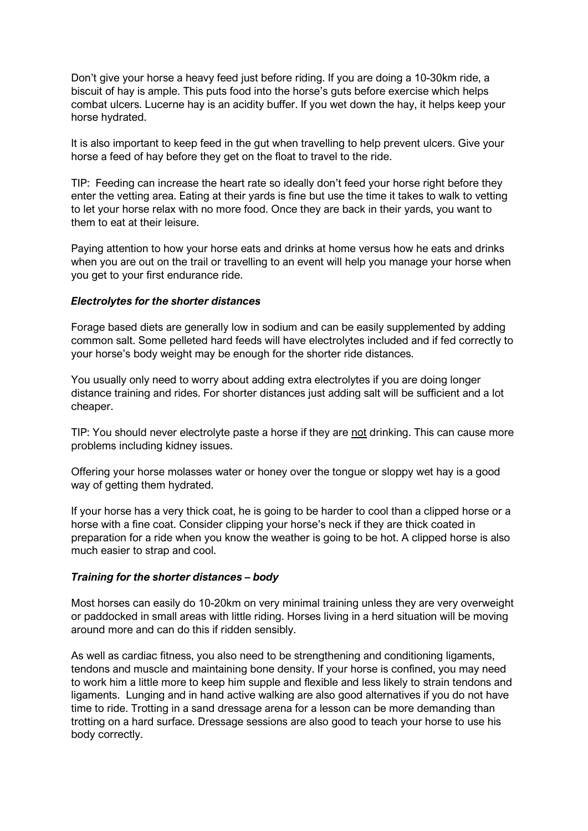Don't give your horse a heavy feed just before riding. If you are doing a 10-30km ride, a biscuit of hay is ample. This puts food into the horse's guts before exercise which helps combat ulcers. Lucerne hay is an acidity buffer. If you wet down the hay, it helps keep your horse hydrated.

It is also important to keep feed in the gut when travelling to help prevent ulcers. Give your horse a feed of hay before they get on the float to travel to the ride.

TIP: Feeding can increase the heart rate so ideally don't feed your horse right before they enter the vetting area. Eating at their yards is fine but use the time it takes to walk to vetting to let your horse relax with no more food. Once they are back in their yards, you want to them to eat at their leisure.

Paying attention to how your horse eats and drinks at home versus how he eats and drinks when you are out on the trail or travelling to an event will help you manage your horse when you get to your first endurance ride.

#### *Electrolytes for the shorter distances*

Forage based diets are generally low in sodium and can be easily supplemented by adding common salt. Some pelleted hard feeds will have electrolytes included and if fed correctly to your horse's body weight may be enough for the shorter ride distances.

You usually only need to worry about adding extra electrolytes if you are doing longer distance training and rides. For shorter distances just adding salt will be sufficient and a lot cheaper.

TIP: You should never electrolyte paste a horse if they are not drinking. This can cause more problems including kidney issues.

Offering your horse molasses water or honey over the tongue or sloppy wet hay is a good way of getting them hydrated.

If your horse has a very thick coat, he is going to be harder to cool than a clipped horse or a horse with a fine coat. Consider clipping your horse's neck if they are thick coated in preparation for a ride when you know the weather is going to be hot. A clipped horse is also much easier to strap and cool.

#### *Training for the shorter distances – body*

Most horses can easily do 10-20km on very minimal training unless they are very overweight or paddocked in small areas with little riding. Horses living in a herd situation will be moving around more and can do this if ridden sensibly.

As well as cardiac fitness, you also need to be strengthening and conditioning ligaments, tendons and muscle and maintaining bone density. If your horse is confined, you may need to work him a little more to keep him supple and flexible and less likely to strain tendons and ligaments. Lunging and in hand active walking are also good alternatives if you do not have time to ride. Trotting in a sand dressage arena for a lesson can be more demanding than trotting on a hard surface. Dressage sessions are also good to teach your horse to use his body correctly.